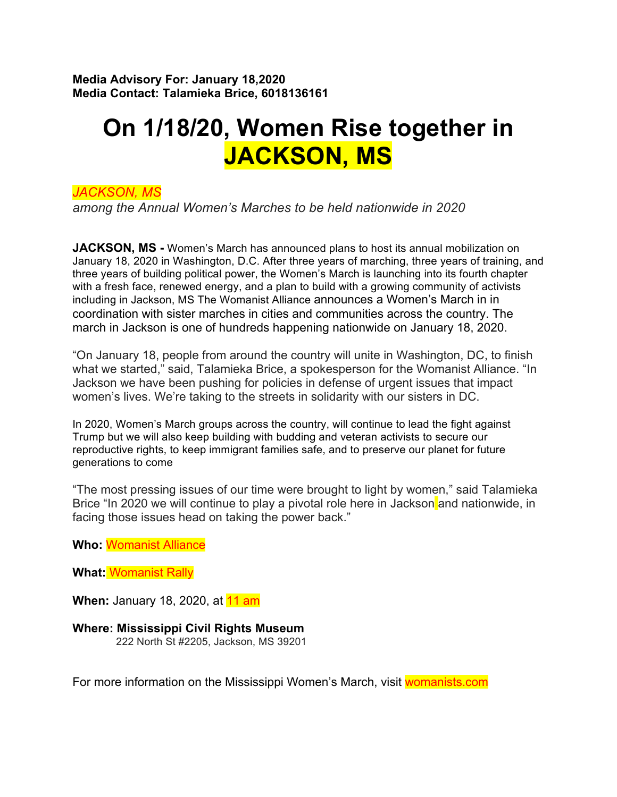**Media Advisory For: January 18,2020 Media Contact: Talamieka Brice, 6018136161**

## **On 1/18/20, Women Rise together in JACKSON, MS**

*JACKSON, MS*

*among the Annual Women's Marches to be held nationwide in 2020*

**JACKSON, MS -** Women's March has announced plans to host its annual mobilization on January 18, 2020 in Washington, D.C. After three years of marching, three years of training, and three years of building political power, the Women's March is launching into its fourth chapter with a fresh face, renewed energy, and a plan to build with a growing community of activists including in Jackson, MS The Womanist Alliance announces a Women's March in in coordination with sister marches in cities and communities across the country. The march in Jackson is one of hundreds happening nationwide on January 18, 2020.

"On January 18, people from around the country will unite in Washington, DC, to finish what we started," said, Talamieka Brice, a spokesperson for the Womanist Alliance. "In Jackson we have been pushing for policies in defense of urgent issues that impact women's lives. We're taking to the streets in solidarity with our sisters in DC.

In 2020, Women's March groups across the country, will continue to lead the fight against Trump but we will also keep building with budding and veteran activists to secure our reproductive rights, to keep immigrant families safe, and to preserve our planet for future generations to come

"The most pressing issues of our time were brought to light by women," said Talamieka Brice "In 2020 we will continue to play a pivotal role here in Jackson and nationwide, in facing those issues head on taking the power back."

**Who:** Womanist Alliance

**What:** Womanist Rally

**When:** January 18, 2020, at **11 am** 

**Where: Mississippi Civil Rights Museum**

222 North St #2205, Jackson, MS 39201

For more information on the Mississippi Women's March, visit womanists.com